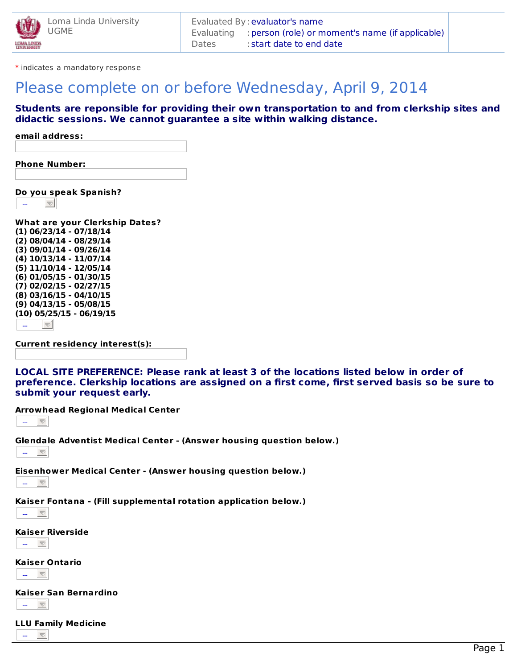

\* indicates a mandatory response

## Please complete on or before Wednesday, April 9, 2014

**Students are reponsible for providing their own transportation to and from clerkship sites and didactic sessions. We cannot guarantee a site within walking distance.**

**email address:**

**Phone Number:**

**Do you speak Spanish?**

--

| <b>What are your Clerkship Dates?</b> |
|---------------------------------------|
| $(1)$ 06/23/14 - 07/18/14             |
| (2) 08/04/14 - 08/29/14               |
| (3) 09/01/14 - 09/26/14               |
| (4) 10/13/14 - 11/07/14               |
| (5) 11/10/14 - 12/05/14               |
| $(6)$ 01/05/15 - 01/30/15             |
| $(7)$ 02/02/15 - 02/27/15             |
| $(8)$ 03/16/15 - 04/10/15             |
| $(9)$ 04/13/15 - 05/08/15             |
| $(10)$ 05/25/15 - 06/19/15            |
|                                       |

**--**  $\sqrt{2}$ 

**Current residency interest(s):**

**LOCAL SITE PREFERENCE: Please rank at least 3 of the locations listed below in order of preference. Clerkship locations are assigned on a first come, first served basis so be sure to submit your request early.**

## **Arrowhead Regional Medical Center**



**Glendale Adventist Medical Center - (Answer housing question below.)**



**Eisenhower Medical Center - (Answer housing question below.)**

--

**Kaiser Fontana - (Fill supplemental rotation application below.)**



**Kaiser Riverside**

--

**Kaiser Ontario**

--

**Kaiser San Bernardino**

--

**LLU Family Medicine**

 $\overline{\nabla}$ --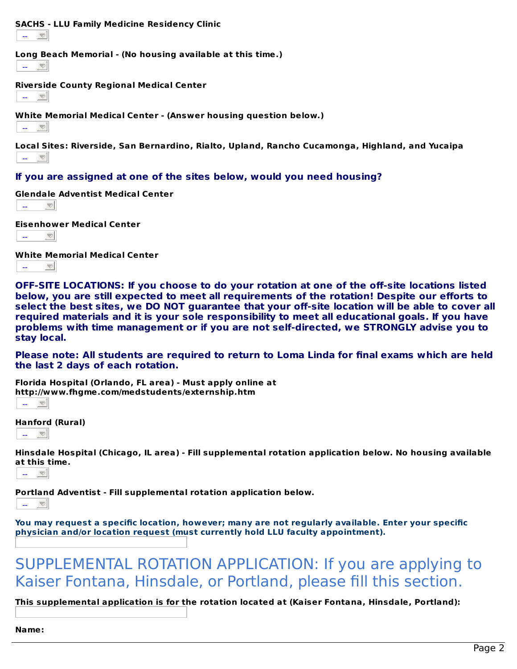



**Long Beach Memorial - (No housing available at this time.)**



**Riverside County Regional Medical Center**



**White Memorial Medical Center - (Answer housing question below.)**

--

**Local Sites: Riverside, San Bernardino, Rialto, Upland, Rancho Cucamonga, Highland, and Yucaipa** --

## **If you are assigned at one of the sites below, would you need housing?**

**Glendale Adventist Medical Center**

--  $\triangledown$ 

**Eisenhower Medical Center**



**White Memorial Medical Center**

--

**OFF-SITE LOCATIONS: If you choose to do your rotation at one of the off-site locations listed below, you are still expected to meet all requirements of the rotation! Despite our efforts to select the best sites, we DO NOT guarantee that your off-site location will be able to cover all required materials and it is your sole responsibility to meet all educational goals. If you have problems with time management or if you are not self-directed, we STRONGLY advise you to stay local.**

**Please note: All students are required to return to Loma Linda for final exams which are held the last 2 days of each rotation.**

**Florida Hospital (Orlando, FL area) - Must apply online at http://www.fhgme.com/medstudents/externship.htm**

--

**Hanford (Rural)**

--

**Hinsdale Hospital (Chicago, IL area) - Fill supplemental rotation application below. No housing available at this time.**

--

**Portland Adventist - Fill supplemental rotation application below.**

--

**You may request a specific location, however; many are not regularly available. Enter your specific physician and/or location request (must currently hold LLU faculty appointment).**

## SUPPLEMENTAL ROTATION APPLICATION: If you are applying to Kaiser Fontana, Hinsdale, or Portland, please fill this section.

**This supplemental application is for the rotation located at (Kaiser Fontana, Hinsdale, Portland):**

**Name:**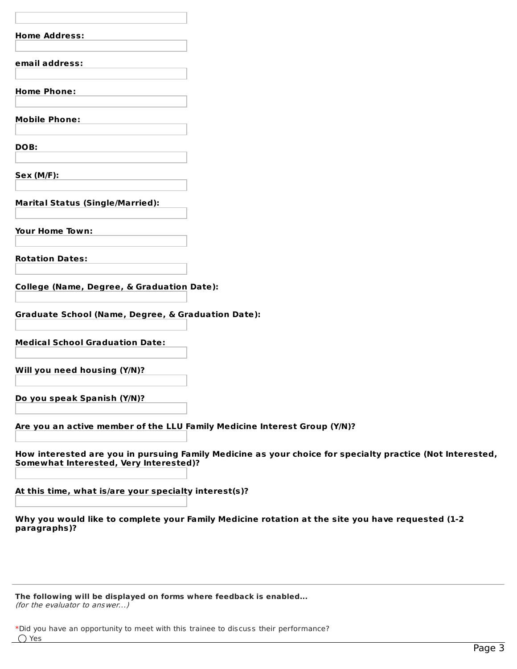| <b>Home Address:</b>                                                      |                                                                                                           |
|---------------------------------------------------------------------------|-----------------------------------------------------------------------------------------------------------|
| email address:                                                            |                                                                                                           |
| <b>Home Phone:</b>                                                        |                                                                                                           |
| <b>Mobile Phone:</b>                                                      |                                                                                                           |
| DOB:                                                                      |                                                                                                           |
| Sex (M/F):                                                                |                                                                                                           |
| <b>Marital Status (Single/Married):</b>                                   |                                                                                                           |
| Your Home Town:                                                           |                                                                                                           |
| <b>Rotation Dates:</b>                                                    |                                                                                                           |
| College (Name, Degree, & Graduation Date):                                |                                                                                                           |
| Graduate School (Name, Degree, & Graduation Date):                        |                                                                                                           |
| <b>Medical School Graduation Date:</b>                                    |                                                                                                           |
| Will you need housing (Y/N)?                                              |                                                                                                           |
| Do you speak Spanish (Y/N)?                                               |                                                                                                           |
| Are you an active member of the LLU Family Medicine Interest Group (Y/N)? |                                                                                                           |
| Somewhat Interested, Very Interested)?                                    | How interested are you in pursuing Family Medicine as your choice for specialty practice (Not Interested, |
| At this time, what is/are your specialty interest(s)?                     |                                                                                                           |

**Why you would like to complete your Family Medicine rotation at the site you have requested (1-2 paragraphs)?**

**The following will be displayed on forms where feedback is enabled...** (for the evaluator to answer...)

\*Did you have an opportunity to meet with this trainee to discuss their performance? Yes